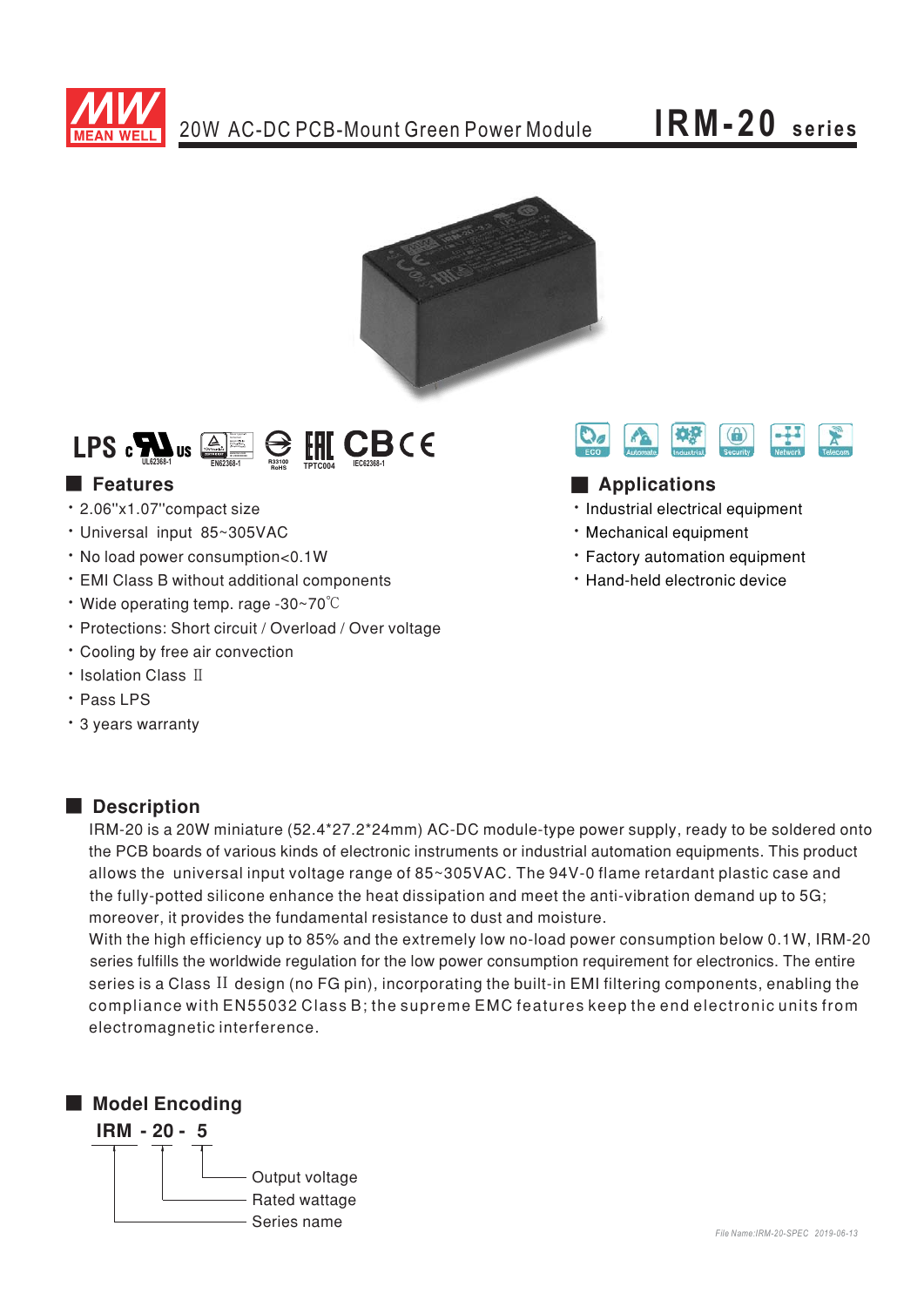

# **IRM-20 series**



## Bauari gepruft<br>Bahariani<br>Pegarani ge<br>Perisani wa<br>Serand way<br>**Www.longano** LPS  $\mathbf{c}$  **EXECALL US**  $\overline{\triangleq}$  **EXECALL BEGES IN LEGGION**

## ■ Features

- · 2.06"x1.07"compact size
- · Universal input 85~305VAC
- No load power consumption<0.1W
- EMI Class B without additional components
- Wide operating temp. rage -30~70°C
- \* Protections: Short circuit / Overload / Over voltage
- . Cooling by free air convection
- Isolation Class II
- · Pass LPS
- · 3 years warranty



### **Applications**

- · Industrial electrical equipment
- Mechanical equipment
- \* Factory automation equipment
- . Hand-held electronic device

### ■ **Description**

IRM-20 is a 20W miniature (52.4\*27.2\*24mm) AC-DC module-type power supply, ready to be soldered onto the PCB boards of various kinds of electronic instruments or industrial automation equipments. This product allows the  $\,$ universal input voltage range of 85~305VAC. The 94V-0 flame retardant plastic case and the fully-potted silicone enhance the heat dissipation and meet the anti-vibration demand up to  $5G$ ; moreover, it provides the fundamental resistance to dust and moisture.

With the high efficiency up to 85% and the extremely low no-load power consumption below 0.1W, IRM-20 series fulfills the worldwide regulation for the low power consumption requirement for electronics. The entire series is a Class II design (no FG pin), incorporating the built-in EMI filtering components, enabling the compliance with EN55032 Class B; the supreme EMC features keep the end electronic units from electromagnetic interference.

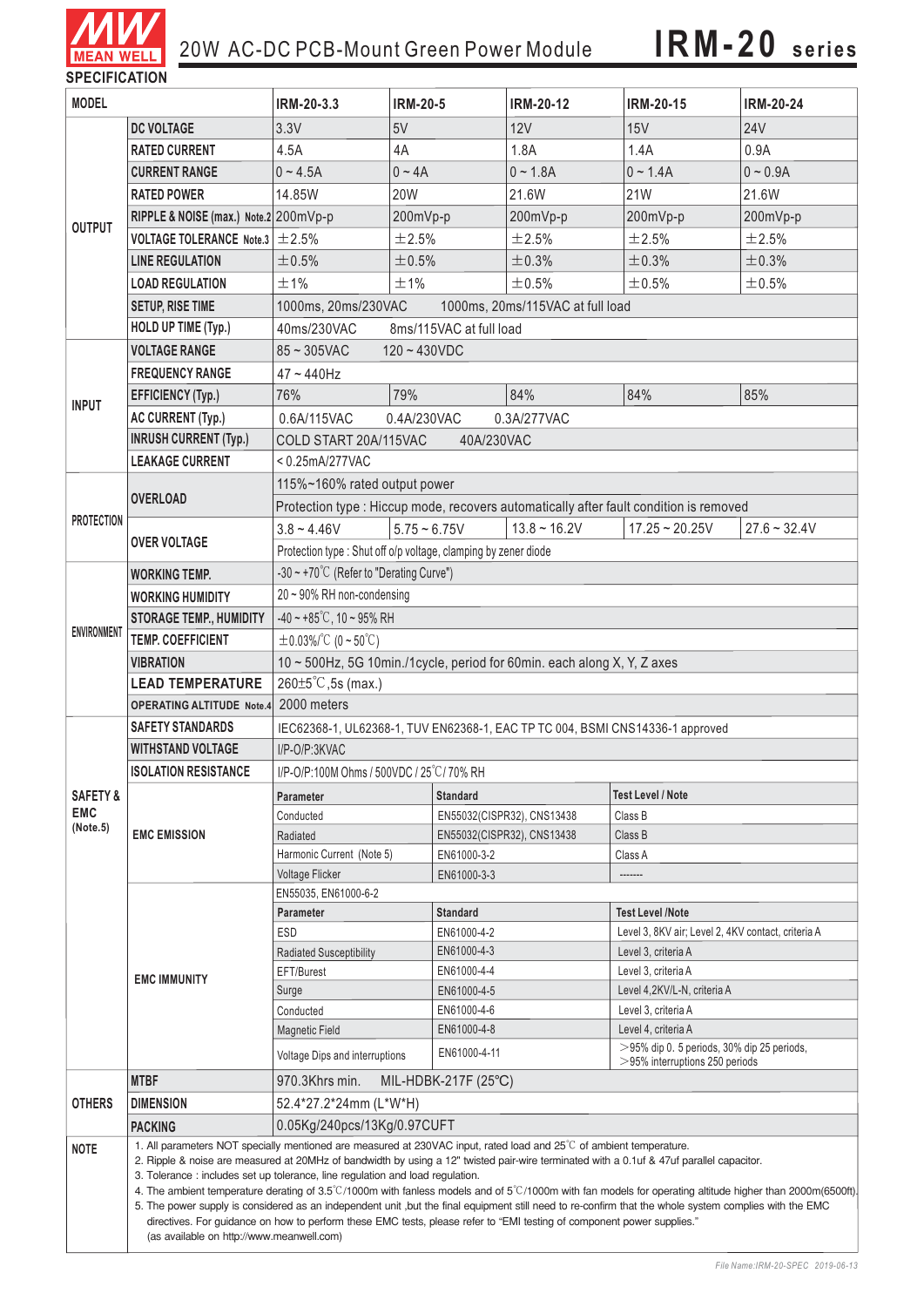

| <b>JELUIFIUAI IUN</b><br><b>MODEL</b> |                                                                                                                                                                                                                                                                                                                                                                                                                                                                                                                                                                                                                                                                                                                                                                                                                                                | IRM-20-3.3                                                                                                                           | <b>IRM-20-5</b>            | <b>IRM-20-12</b>                                                              | <b>IRM-20-15</b>            | <b>IRM-20-24</b> |  |
|---------------------------------------|------------------------------------------------------------------------------------------------------------------------------------------------------------------------------------------------------------------------------------------------------------------------------------------------------------------------------------------------------------------------------------------------------------------------------------------------------------------------------------------------------------------------------------------------------------------------------------------------------------------------------------------------------------------------------------------------------------------------------------------------------------------------------------------------------------------------------------------------|--------------------------------------------------------------------------------------------------------------------------------------|----------------------------|-------------------------------------------------------------------------------|-----------------------------|------------------|--|
|                                       | <b>DC VOLTAGE</b>                                                                                                                                                                                                                                                                                                                                                                                                                                                                                                                                                                                                                                                                                                                                                                                                                              | 3.3V                                                                                                                                 | 5V                         | 12V                                                                           | 15V                         | <b>24V</b>       |  |
| <b>OUTPUT</b>                         | <b>RATED CURRENT</b>                                                                                                                                                                                                                                                                                                                                                                                                                                                                                                                                                                                                                                                                                                                                                                                                                           | 4.5A                                                                                                                                 | 4A                         | 1.8A                                                                          | 1.4A                        | 0.9A             |  |
|                                       | <b>CURRENT RANGE</b>                                                                                                                                                                                                                                                                                                                                                                                                                                                                                                                                                                                                                                                                                                                                                                                                                           | $0 - 4.5A$                                                                                                                           | $0 - 4A$                   | $0 - 1.8A$                                                                    | $0 - 1.4A$                  | $0 - 0.9A$       |  |
|                                       | <b>RATED POWER</b>                                                                                                                                                                                                                                                                                                                                                                                                                                                                                                                                                                                                                                                                                                                                                                                                                             |                                                                                                                                      |                            |                                                                               | <b>21W</b>                  |                  |  |
|                                       |                                                                                                                                                                                                                                                                                                                                                                                                                                                                                                                                                                                                                                                                                                                                                                                                                                                | 14.85W                                                                                                                               | 20W                        | 21.6W                                                                         |                             | 21.6W            |  |
|                                       | RIPPLE & NOISE (max.) Note.2 200mVp-p                                                                                                                                                                                                                                                                                                                                                                                                                                                                                                                                                                                                                                                                                                                                                                                                          |                                                                                                                                      | 200mVp-p                   | 200mVp-p                                                                      | 200mVp-p                    | 200mVp-p         |  |
|                                       | VOLTAGE TOLERANCE Note.3 $\pm$ 2.5%                                                                                                                                                                                                                                                                                                                                                                                                                                                                                                                                                                                                                                                                                                                                                                                                            |                                                                                                                                      | ±2.5%                      | ±2.5%                                                                         | ±2.5%                       | ±2.5%            |  |
|                                       | <b>LINE REGULATION</b>                                                                                                                                                                                                                                                                                                                                                                                                                                                                                                                                                                                                                                                                                                                                                                                                                         | ±0.5%                                                                                                                                | ±0.5%                      | ±0.3%                                                                         | ±0.3%                       | ±0.3%            |  |
|                                       | <b>LOAD REGULATION</b>                                                                                                                                                                                                                                                                                                                                                                                                                                                                                                                                                                                                                                                                                                                                                                                                                         | ±1%                                                                                                                                  | ±1%                        | ±0.5%                                                                         | ±0.5%                       | ±0.5%            |  |
|                                       | <b>SETUP, RISE TIME</b>                                                                                                                                                                                                                                                                                                                                                                                                                                                                                                                                                                                                                                                                                                                                                                                                                        | 1000ms, 20ms/230VAC                                                                                                                  |                            | 1000ms, 20ms/115VAC at full load                                              |                             |                  |  |
|                                       | HOLD UP TIME (Typ.)                                                                                                                                                                                                                                                                                                                                                                                                                                                                                                                                                                                                                                                                                                                                                                                                                            | 40ms/230VAC<br>8ms/115VAC at full load                                                                                               |                            |                                                                               |                             |                  |  |
| <b>INPUT</b>                          | <b>VOLTAGE RANGE</b>                                                                                                                                                                                                                                                                                                                                                                                                                                                                                                                                                                                                                                                                                                                                                                                                                           | $85 \sim 305$ VAC<br>$120 - 430VDC$                                                                                                  |                            |                                                                               |                             |                  |  |
|                                       | <b>FREQUENCY RANGE</b>                                                                                                                                                                                                                                                                                                                                                                                                                                                                                                                                                                                                                                                                                                                                                                                                                         | 47~440Hz                                                                                                                             |                            |                                                                               |                             |                  |  |
|                                       | <b>EFFICIENCY (Typ.)</b>                                                                                                                                                                                                                                                                                                                                                                                                                                                                                                                                                                                                                                                                                                                                                                                                                       | 76%                                                                                                                                  | 79%                        | 84%                                                                           | 84%                         | 85%              |  |
|                                       | <b>AC CURRENT (Typ.)</b>                                                                                                                                                                                                                                                                                                                                                                                                                                                                                                                                                                                                                                                                                                                                                                                                                       | 0.6A/115VAC<br>0.4A/230VAC<br>0.3A/277VAC                                                                                            |                            |                                                                               |                             |                  |  |
|                                       | <b>INRUSH CURRENT (Typ.)</b>                                                                                                                                                                                                                                                                                                                                                                                                                                                                                                                                                                                                                                                                                                                                                                                                                   | COLD START 20A/115VAC<br>40A/230VAC                                                                                                  |                            |                                                                               |                             |                  |  |
|                                       | <b>LEAKAGE CURRENT</b>                                                                                                                                                                                                                                                                                                                                                                                                                                                                                                                                                                                                                                                                                                                                                                                                                         | $< 0.25$ mA/277VAC                                                                                                                   |                            |                                                                               |                             |                  |  |
| <b>PROTECTION</b>                     | <b>OVERLOAD</b>                                                                                                                                                                                                                                                                                                                                                                                                                                                                                                                                                                                                                                                                                                                                                                                                                                | 115%~160% rated output power                                                                                                         |                            |                                                                               |                             |                  |  |
|                                       |                                                                                                                                                                                                                                                                                                                                                                                                                                                                                                                                                                                                                                                                                                                                                                                                                                                | Protection type : Hiccup mode, recovers automatically after fault condition is removed                                               |                            |                                                                               |                             |                  |  |
|                                       | <b>OVER VOLTAGE</b>                                                                                                                                                                                                                                                                                                                                                                                                                                                                                                                                                                                                                                                                                                                                                                                                                            | $3.8 - 4.46V$                                                                                                                        | $5.75 - 6.75V$             | $13.8 \sim 16.2V$                                                             | $17.25 - 20.25V$            | $27.6 - 32.4V$   |  |
|                                       |                                                                                                                                                                                                                                                                                                                                                                                                                                                                                                                                                                                                                                                                                                                                                                                                                                                | Protection type: Shut off o/p voltage, clamping by zener diode                                                                       |                            |                                                                               |                             |                  |  |
| <b>ENVIRONMENT</b>                    | <b>WORKING TEMP.</b>                                                                                                                                                                                                                                                                                                                                                                                                                                                                                                                                                                                                                                                                                                                                                                                                                           | -30 ~ +70°C (Refer to "Derating Curve")                                                                                              |                            |                                                                               |                             |                  |  |
|                                       | <b>WORKING HUMIDITY</b>                                                                                                                                                                                                                                                                                                                                                                                                                                                                                                                                                                                                                                                                                                                                                                                                                        | $20 \sim 90\%$ RH non-condensing                                                                                                     |                            |                                                                               |                             |                  |  |
|                                       | <b>STORAGE TEMP., HUMIDITY</b>                                                                                                                                                                                                                                                                                                                                                                                                                                                                                                                                                                                                                                                                                                                                                                                                                 | $-40 \sim +85^{\circ}$ C, 10 ~ 95% RH                                                                                                |                            |                                                                               |                             |                  |  |
|                                       | <b>TEMP. COEFFICIENT</b>                                                                                                                                                                                                                                                                                                                                                                                                                                                                                                                                                                                                                                                                                                                                                                                                                       | $\pm$ 0.03%/°C (0~50°C)                                                                                                              |                            |                                                                               |                             |                  |  |
|                                       | <b>VIBRATION</b>                                                                                                                                                                                                                                                                                                                                                                                                                                                                                                                                                                                                                                                                                                                                                                                                                               | 10 ~ 500Hz, 5G 10min./1cycle, period for 60min. each along X, Y, Z axes                                                              |                            |                                                                               |                             |                  |  |
|                                       | <b>LEAD TEMPERATURE</b>                                                                                                                                                                                                                                                                                                                                                                                                                                                                                                                                                                                                                                                                                                                                                                                                                        | $260 \pm 5^{\circ}$ C, 5s (max.)                                                                                                     |                            |                                                                               |                             |                  |  |
|                                       | 2000 meters<br><b>OPERATING ALTITUDE Note.4</b>                                                                                                                                                                                                                                                                                                                                                                                                                                                                                                                                                                                                                                                                                                                                                                                                |                                                                                                                                      |                            |                                                                               |                             |                  |  |
| <b>SAFETY &amp;</b><br><b>EMC</b>     | <b>SAFETY STANDARDS</b>                                                                                                                                                                                                                                                                                                                                                                                                                                                                                                                                                                                                                                                                                                                                                                                                                        | IEC62368-1, UL62368-1, TUV EN62368-1, EAC TP TC 004, BSMI CNS14336-1 approved                                                        |                            |                                                                               |                             |                  |  |
|                                       | <b>WITHSTAND VOLTAGE</b>                                                                                                                                                                                                                                                                                                                                                                                                                                                                                                                                                                                                                                                                                                                                                                                                                       | I/P-O/P:3KVAC                                                                                                                        |                            |                                                                               |                             |                  |  |
|                                       | <b>ISOLATION RESISTANCE</b>                                                                                                                                                                                                                                                                                                                                                                                                                                                                                                                                                                                                                                                                                                                                                                                                                    | I/P-O/P:100M Ohms / 500VDC / 25°C/70% RH                                                                                             |                            |                                                                               |                             |                  |  |
|                                       |                                                                                                                                                                                                                                                                                                                                                                                                                                                                                                                                                                                                                                                                                                                                                                                                                                                | <b>Standard</b><br>Parameter                                                                                                         |                            | <b>Test Level / Note</b>                                                      |                             |                  |  |
|                                       |                                                                                                                                                                                                                                                                                                                                                                                                                                                                                                                                                                                                                                                                                                                                                                                                                                                | Conducted                                                                                                                            |                            | EN55032(CISPR32), CNS13438<br>Class B                                         |                             |                  |  |
| (Note.5)                              | <b>EMC EMISSION</b>                                                                                                                                                                                                                                                                                                                                                                                                                                                                                                                                                                                                                                                                                                                                                                                                                            | Radiated                                                                                                                             |                            | EN55032(CISPR32), CNS13438<br>Class B                                         |                             |                  |  |
|                                       |                                                                                                                                                                                                                                                                                                                                                                                                                                                                                                                                                                                                                                                                                                                                                                                                                                                | Harmonic Current (Note 5)                                                                                                            | EN61000-3-2                |                                                                               | Class A                     |                  |  |
|                                       |                                                                                                                                                                                                                                                                                                                                                                                                                                                                                                                                                                                                                                                                                                                                                                                                                                                | <b>Voltage Flicker</b><br>EN61000-3-3<br>-------                                                                                     |                            |                                                                               |                             |                  |  |
|                                       | <b>EMC IMMUNITY</b>                                                                                                                                                                                                                                                                                                                                                                                                                                                                                                                                                                                                                                                                                                                                                                                                                            | EN55035, EN61000-6-2                                                                                                                 |                            |                                                                               |                             |                  |  |
|                                       |                                                                                                                                                                                                                                                                                                                                                                                                                                                                                                                                                                                                                                                                                                                                                                                                                                                | <b>Standard</b><br><b>Parameter</b><br><b>ESD</b>                                                                                    |                            | <b>Test Level /Note</b><br>Level 3, 8KV air; Level 2, 4KV contact, criteria A |                             |                  |  |
|                                       |                                                                                                                                                                                                                                                                                                                                                                                                                                                                                                                                                                                                                                                                                                                                                                                                                                                | <b>Radiated Susceptibility</b>                                                                                                       | EN61000-4-2<br>EN61000-4-3 |                                                                               | Level 3, criteria A         |                  |  |
|                                       |                                                                                                                                                                                                                                                                                                                                                                                                                                                                                                                                                                                                                                                                                                                                                                                                                                                | EFT/Burest                                                                                                                           | EN61000-4-4                | Level 3, criteria A                                                           |                             |                  |  |
|                                       |                                                                                                                                                                                                                                                                                                                                                                                                                                                                                                                                                                                                                                                                                                                                                                                                                                                | Surge                                                                                                                                | EN61000-4-5                |                                                                               | Level 4,2KV/L-N, criteria A |                  |  |
|                                       |                                                                                                                                                                                                                                                                                                                                                                                                                                                                                                                                                                                                                                                                                                                                                                                                                                                | Conducted<br>EN61000-4-6                                                                                                             |                            |                                                                               | Level 3, criteria A         |                  |  |
|                                       |                                                                                                                                                                                                                                                                                                                                                                                                                                                                                                                                                                                                                                                                                                                                                                                                                                                | <b>Magnetic Field</b>                                                                                                                | EN61000-4-8                |                                                                               | Level 4, criteria A         |                  |  |
|                                       |                                                                                                                                                                                                                                                                                                                                                                                                                                                                                                                                                                                                                                                                                                                                                                                                                                                | $>$ 95% dip 0. 5 periods, 30% dip 25 periods,<br>EN61000-4-11<br>Voltage Dips and interruptions<br>$>$ 95% interruptions 250 periods |                            |                                                                               |                             |                  |  |
|                                       | <b>MTBF</b>                                                                                                                                                                                                                                                                                                                                                                                                                                                                                                                                                                                                                                                                                                                                                                                                                                    | MIL-HDBK-217F (25°C)<br>970.3Khrs min.                                                                                               |                            |                                                                               |                             |                  |  |
| <b>OTHERS</b>                         | <b>DIMENSION</b>                                                                                                                                                                                                                                                                                                                                                                                                                                                                                                                                                                                                                                                                                                                                                                                                                               | 52.4*27.2*24mm (L*W*H)                                                                                                               |                            |                                                                               |                             |                  |  |
|                                       | <b>PACKING</b>                                                                                                                                                                                                                                                                                                                                                                                                                                                                                                                                                                                                                                                                                                                                                                                                                                 | 0.05Kg/240pcs/13Kg/0.97CUFT                                                                                                          |                            |                                                                               |                             |                  |  |
| <b>NOTE</b>                           | 1. All parameters NOT specially mentioned are measured at 230VAC input, rated load and 25°C of ambient temperature.<br>2. Ripple & noise are measured at 20MHz of bandwidth by using a 12" twisted pair-wire terminated with a 0.1uf & 47uf parallel capacitor.<br>3. Tolerance: includes set up tolerance, line regulation and load regulation.<br>4. The ambient temperature derating of 3.5°C/1000m with fanless models and of 5°C/1000m with fan models for operating altitude higher than 2000m(6500ft).<br>5. The power supply is considered as an independent unit, but the final equipment still need to re-confirm that the whole system complies with the EMC<br>directives. For guidance on how to perform these EMC tests, please refer to "EMI testing of component power supplies."<br>(as available on http://www.meanwell.com) |                                                                                                                                      |                            |                                                                               |                             |                  |  |